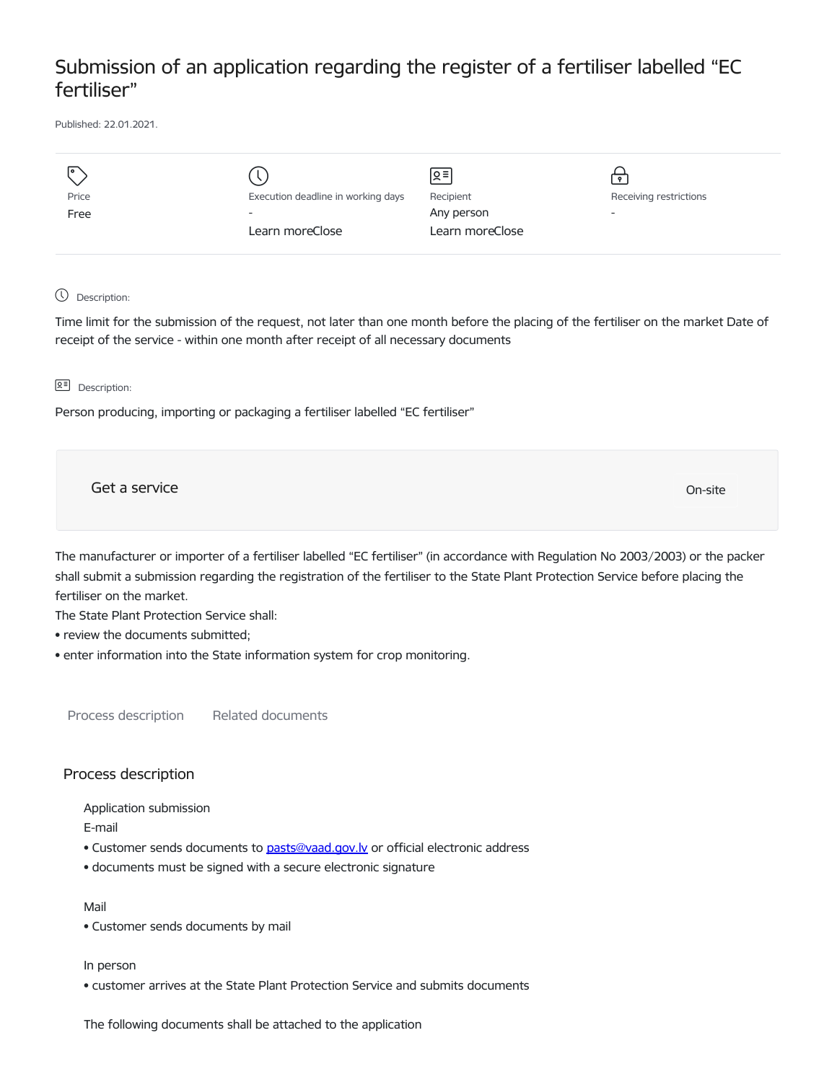## Submission of an application regarding the register of a fertiliser labelled "EC fertiliser"

Published: 22.01.2021.

| I۰    |                                    | $\sqrt{2}$      | $\bullet$                |
|-------|------------------------------------|-----------------|--------------------------|
| Price | Execution deadline in working days | Recipient       | Receiving restrictions   |
| Free  | $\overline{\phantom{a}}$           | Any person      | $\overline{\phantom{0}}$ |
|       | Learn moreClose                    | Learn moreClose |                          |
|       |                                    |                 |                          |

Description:

Time limit for the submission of the request, not later than one month before the placing of the fertiliser on the market Date of receipt of the service - within one month after receipt of all necessary documents

**B<sup>=</sup>** Description:

Person producing, importing or packaging a fertiliser labelled "EC fertiliser"

Get a service On-site

The manufacturer or importer of a fertiliser labelled "EC fertiliser" (in accordance with Regulation No 2003/2003) or the packer shall submit a submission regarding the registration of the fertiliser to the State Plant Protection Service before placing the fertiliser on the market.

The State Plant Protection Service shall:

• review the documents submitted;

• enter information into the State information system for crop monitoring.

Process description Related documents

## Process description

Application submission

E-mail

- Customer sends documents to [pasts@vaad.gov.lv](mailto:pasts@vaad.gov.lv) or official electronic address
- documents must be signed with a secure electronic signature

Mail

• Customer sends documents by mail

In person

• customer arrives at the State Plant Protection Service and submits documents

The following documents shall be attached to the application